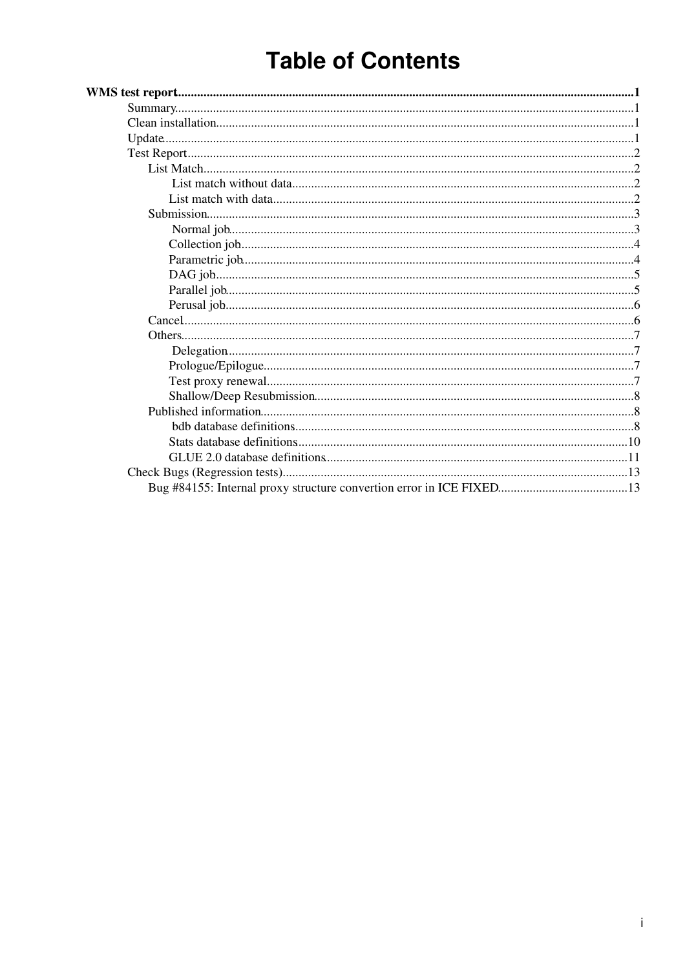# **Table of Contents**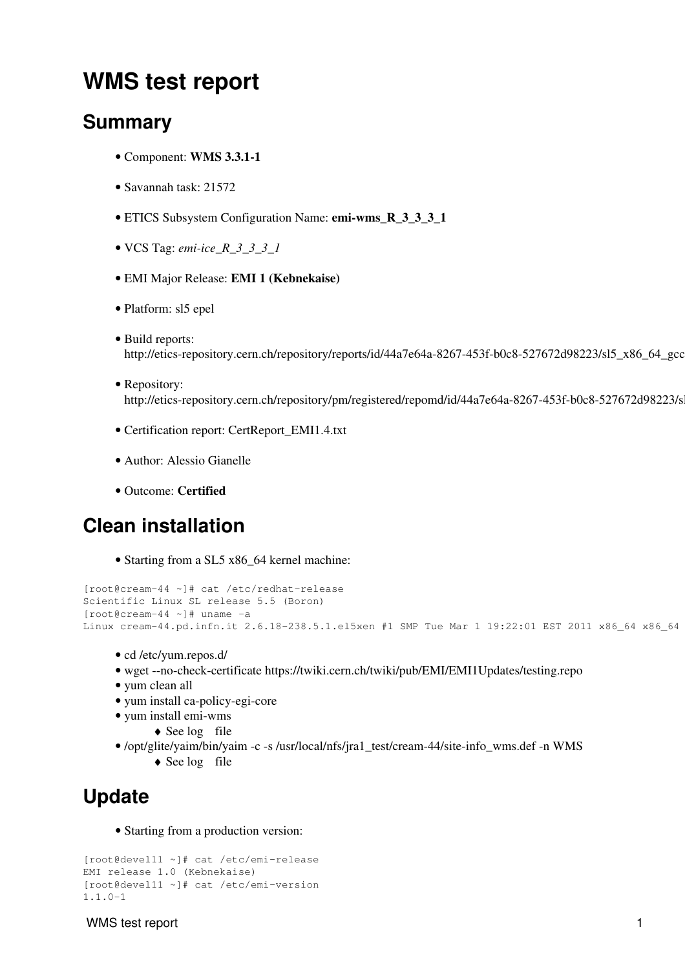# <span id="page-1-0"></span>**WMS test report**

# <span id="page-1-1"></span>**Summary**

- Component: **WMS 3.3.1-1**
- Savannah task: [21572](https://savannah.cern.ch/task/index.php?21572)
- ETICS Subsystem Configuration Name: **emi-wms\_R\_3\_3\_3\_1**
- VCS Tag: *emi-ice\_R\_3\_3\_3\_1*
- EMI Major Release: **EMI 1 (Kebnekaise)**
- Platform: sl5 epel
- Build reports: http://etics-repository.cern.ch/repository/reports/id/44a7e64a-8267-453f-b0c8-527672d98223/sl5\_x86\_64\_gcc
- Repository: http://etics-repository.cern.ch/repository/pm/registered/repomd/id/44a7e64a-8267-453f-b0c8-527672d98223/s
- Certification report: [CertReport\\_EMI1.4.txt](https://wiki-igi.cnaf.infn.it/twiki/pub/WMS/Task21572/CertReport_EMI1.4.txt)
- Author: Alessio Gianelle
- Outcome: **Certified**

## <span id="page-1-2"></span>**Clean installation**

• Starting from a SL5 x86\_64 kernel machine:

```
[root@cream-44 ~]# cat /etc/redhat-release
Scientific Linux SL release 5.5 (Boron)
[root@cream-44 ~]# uname -a
Linux cream-44.pd.infn.it 2.6.18-238.5.1.el5xen #1 SMP Tue Mar 1 19:22:01 EST 2011 x86_64 x86_64
```
- cd /etc/yum.repos.d/
- wget --no-check-certificate<https://twiki.cern.ch/twiki/pub/EMI/EMI1Updates/testing.repo>
- yum clean all
- yum install ca-policy-egi-core
- yum install emi-wms
	- ♦ See [log](http://wiki.italiangrid.org/twiki/pub/WMS/Task21572/install.txt) file
- /opt/glite/yaim/bin/yaim -c -s /usr/local/nfs/jra1\_test/cream-44/site-info\_wms.def -n WMS ♦ See [log](http://wiki.italiangrid.org/twiki/pub/WMS/Task21572/configure.txt) file

# <span id="page-1-3"></span>**Update**

• Starting from a production version:

```
[root@devel11 ~]# cat /etc/emi-release
EMI release 1.0 (Kebnekaise)
[root@devel11 ~]# cat /etc/emi-version 
1.1.0-1
```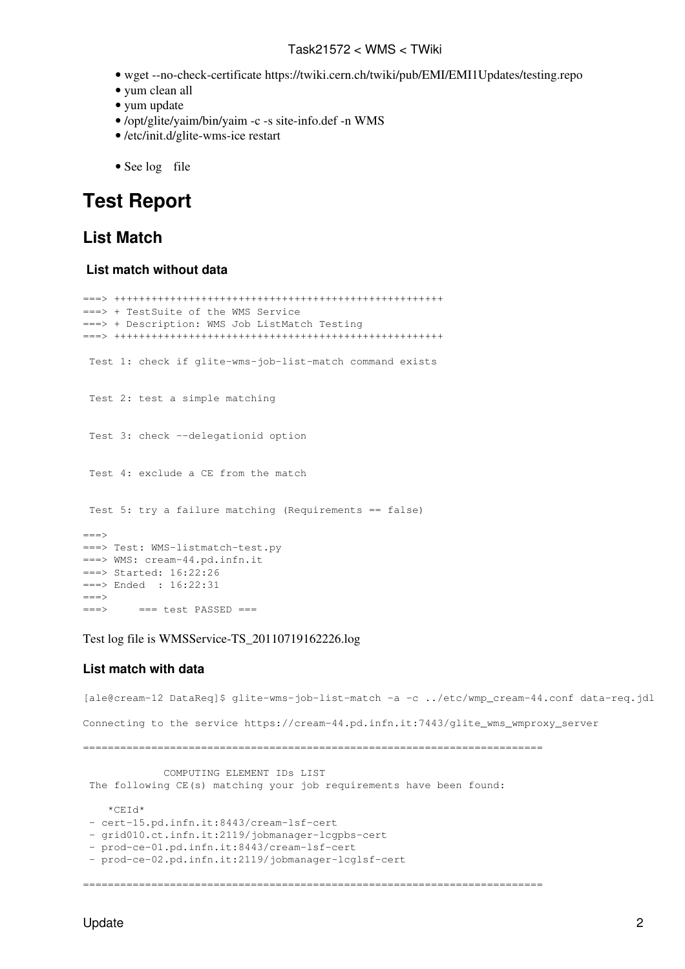- wget --no-check-certificate<https://twiki.cern.ch/twiki/pub/EMI/EMI1Updates/testing.repo>
- yum clean all
- yum update
- /opt/glite/yaim/bin/yaim -c -s site-info.def -n WMS
- /etc/init.d/glite-wms-ice restart
- See [log](http://wiki.italiangrid.org/twiki/pub/WMS/Task21572/update.txt) file

## <span id="page-2-0"></span>**Test Report**

### <span id="page-2-1"></span>**List Match**

### <span id="page-2-2"></span> **List match without data**

```
===> +++++++++++++++++++++++++++++++++++++++++++++++++++++
===> + TestSuite of the WMS Service 
===> + Description: WMS Job ListMatch Testing 
===> +++++++++++++++++++++++++++++++++++++++++++++++++++++
 Test 1: check if glite-wms-job-list-match command exists 
 Test 2: test a simple matching 
 Test 3: check --delegationid option 
 Test 4: exclude a CE from the match 
 Test 5: try a failure matching (Requirements == false) 
====> Test: WMS-listmatch-test.py
===> WMS: cream-44.pd.infn.it
===> Started: 16:22:26
===> Ended : 16:22:31
==->===> === test PASSED ===
```
Test log file is [WMSService-TS\\_20110719162226.log](https://wiki-igi.cnaf.infn.it/twiki/pub/WMS/Task21572/WMSService-TS_20110719162226.log)

### <span id="page-2-3"></span>**List match with data**

```
[ale@cream-12 DataReq]$ glite-wms-job-list-match -a -c ../etc/wmp_cream-44.conf data-req.jdl
Connecting to the service https://cream-44.pd.infn.it:7443/glite_wms_wmproxy_server
==========================================================================
             COMPUTING ELEMENT IDs LIST 
 The following CE(s) matching your job requirements have been found:
    *CEId*
 - cert-15.pd.infn.it:8443/cream-lsf-cert
 - grid010.ct.infn.it:2119/jobmanager-lcgpbs-cert
  - prod-ce-01.pd.infn.it:8443/cream-lsf-cert
  - prod-ce-02.pd.infn.it:2119/jobmanager-lcglsf-cert
==========================================================================
```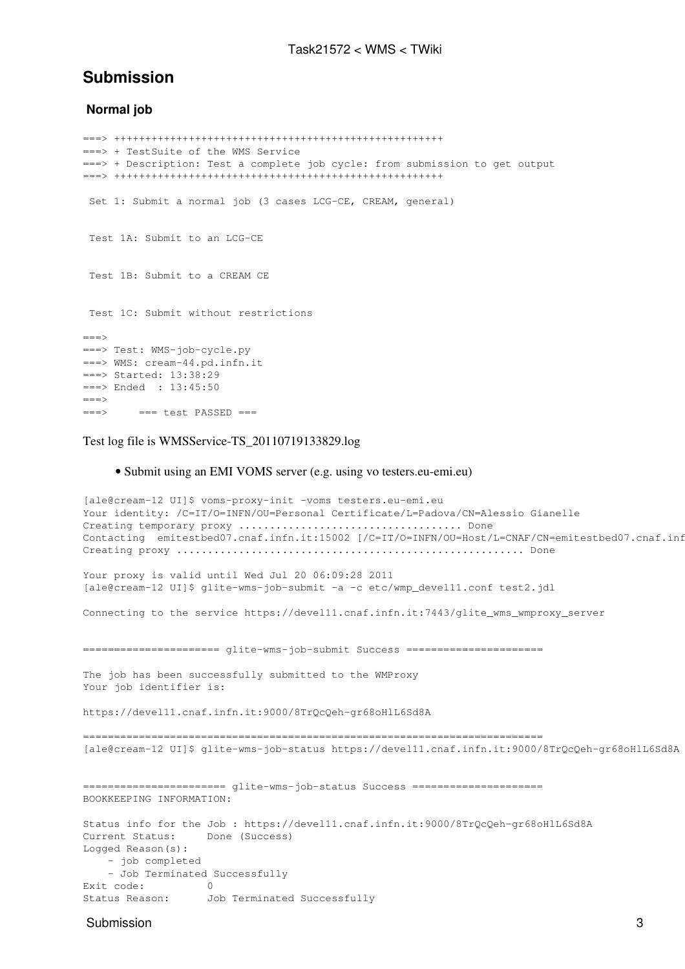### <span id="page-3-0"></span>**Submission**

### <span id="page-3-1"></span> **Normal job**

```
===> +++++++++++++++++++++++++++++++++++++++++++++++++++++
===> + TestSuite of the WMS Service 
===> + Description: Test a complete job cycle: from submission to get output 
===> +++++++++++++++++++++++++++++++++++++++++++++++++++++
 Set 1: Submit a normal job (3 cases LCG-CE, CREAM, general) 
 Test 1A: Submit to an LCG-CE 
 Test 1B: Submit to a CREAM CE 
 Test 1C: Submit without restrictions 
=-====> Test: WMS-job-cycle.py
===> WMS: cream-44.pd.infn.it
===> Started: 13:38:29
===> Ended : 13:45:50
=
```
 $==> == test PASSED ==$ 

Test log file is [WMSService-TS\\_20110719133829.log](https://wiki-igi.cnaf.infn.it/twiki/pub/WMS/Task21572/WMSService-TS_20110719133829.log)

### • Submit using an EMI VOMS server (e.g. using vo testers.eu-emi.eu)

```
[ale@cream-12 UI]$ voms-proxy-init -voms testers.eu-emi.eu 
Your identity: /C=IT/O=INFN/OU=Personal Certificate/L=Padova/CN=Alessio Gianelle
Creating temporary proxy .................................... Done
Contacting emitestbed07.cnaf.infn.it:15002 [/C=IT/O=INFN/OU=Host/L=CNAF/CN=emitestbed07.cnaf.inf
Creating proxy ........................................................ Done
Your proxy is valid until Wed Jul 20 06:09:28 2011
[ale@cream-12 UI]$ glite-wms-job-submit -a -c etc/wmp_devel11.conf test2.jdl 
Connecting to the service https://devel11.cnaf.infn.it:7443/glite_wms_wmproxy_server
====================== glite-wms-job-submit Success ======================
The job has been successfully submitted to the WMProxy
Your job identifier is:
https://devel11.cnaf.infn.it:9000/8TrQcQeh-gr68oHlL6Sd8A
==========================================================================
[ale@cream-12 UI]$ glite-wms-job-status https://devel11.cnaf.infn.it:9000/8TrQcQeh-gr68oHlL6Sd8A
======================= glite-wms-job-status Success =======================
BOOKKEEPING INFORMATION:
Status info for the Job : https://devel11.cnaf.infn.it:9000/8TrQcQeh-gr68oHlL6Sd8A
Current Status: Done (Success)
Logged Reason(s):
     - job completed
    - Job Terminated Successfully<br>code: 0
Exit code:
Status Reason: Job Terminated Successfully
```
### Submission 3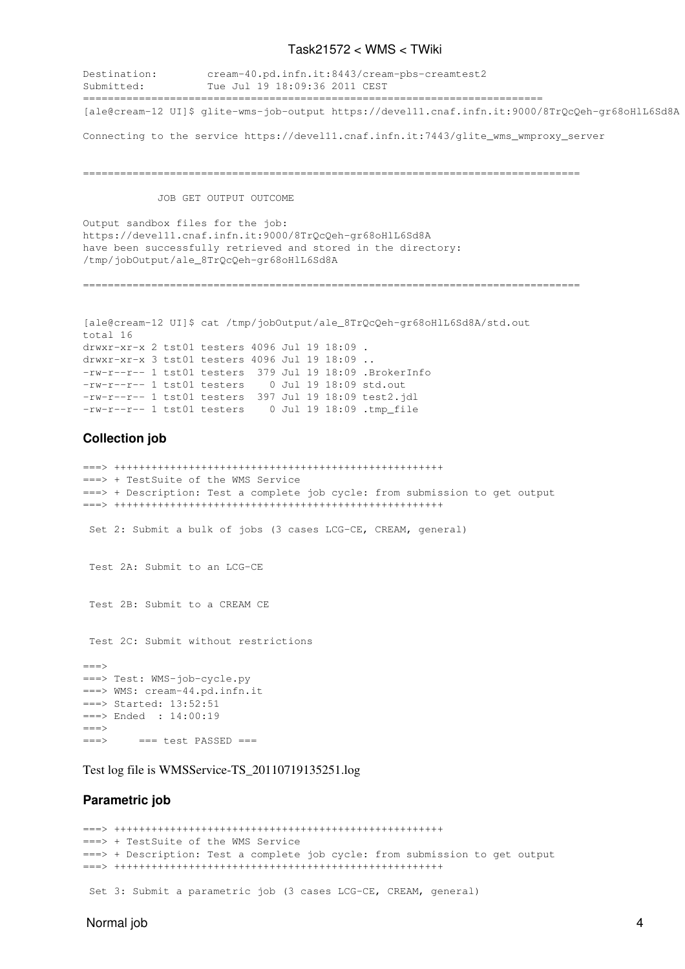Destination: cream-40.pd.infn.it:8443/cream-pbs-creamtest2 Submitted: Tue Jul 19 18:09:36 2011 CEST ========================================================================== [ale@cream-12 UI]\$ glite-wms-job-output https://devel11.cnaf.infn.it:9000/8TrQcQeh-gr68oHlL6Sd8A

Connecting to the service https://devel11.cnaf.infn.it:7443/glite\_wms\_wmproxy\_server

================================================================================

JOB GET OUTPUT OUTCOME

Output sandbox files for the job: https://devel11.cnaf.infn.it:9000/8TrQcQeh-gr68oHlL6Sd8A have been successfully retrieved and stored in the directory: /tmp/jobOutput/ale\_8TrQcQeh-gr68oHlL6Sd8A

================================================================================

[ale@cream-12 UI]\$ cat /tmp/jobOutput/ale\_8TrQcQeh-gr68oHlL6Sd8A/std.out total 16 drwxr-xr-x 2 tst01 testers 4096 Jul 19 18:09 . drwxr-xr-x 3 tst01 testers 4096 Jul 19 18:09 .. -rw-r--r-- 1 tst01 testers 379 Jul 19 18:09 .BrokerInfo -rw-r--r-- 1 tst01 testers 0 Jul 19 18:09 std.out -rw-r--r-- 1 tst01 testers 397 Jul 19 18:09 test2.jdl  $-rw-r--r-1$  tst01 testers 0 Jul 19 18:09 .tmp\_file

### <span id="page-4-0"></span>**Collection job**

===> +++++++++++++++++++++++++++++++++++++++++++++++++++++ ===> + TestSuite of the WMS Service ===> + Description: Test a complete job cycle: from submission to get output ===> +++++++++++++++++++++++++++++++++++++++++++++++++++++ Set 2: Submit a bulk of jobs (3 cases LCG-CE, CREAM, general) Test 2A: Submit to an LCG-CE Test 2B: Submit to a CREAM CE Test 2C: Submit without restrictions  $=$ ===> Test: WMS-job-cycle.py ===> WMS: cream-44.pd.infn.it ===> Started: 13:52:51 ===> Ended : 14:00:19  $=$  $==$   $==$   $+est$  PASSED  $==$ 

Test log file is [WMSService-TS\\_20110719135251.log](https://wiki-igi.cnaf.infn.it/twiki/pub/WMS/Task21572/WMSService-TS_20110719135251.log)

### <span id="page-4-1"></span>**Parametric job**

```
===> +++++++++++++++++++++++++++++++++++++++++++++++++++++
===> + TestSuite of the WMS Service 
===> + Description: Test a complete job cycle: from submission to get output 
===> +++++++++++++++++++++++++++++++++++++++++++++++++++++
 Set 3: Submit a parametric job (3 cases LCG-CE, CREAM, general)
```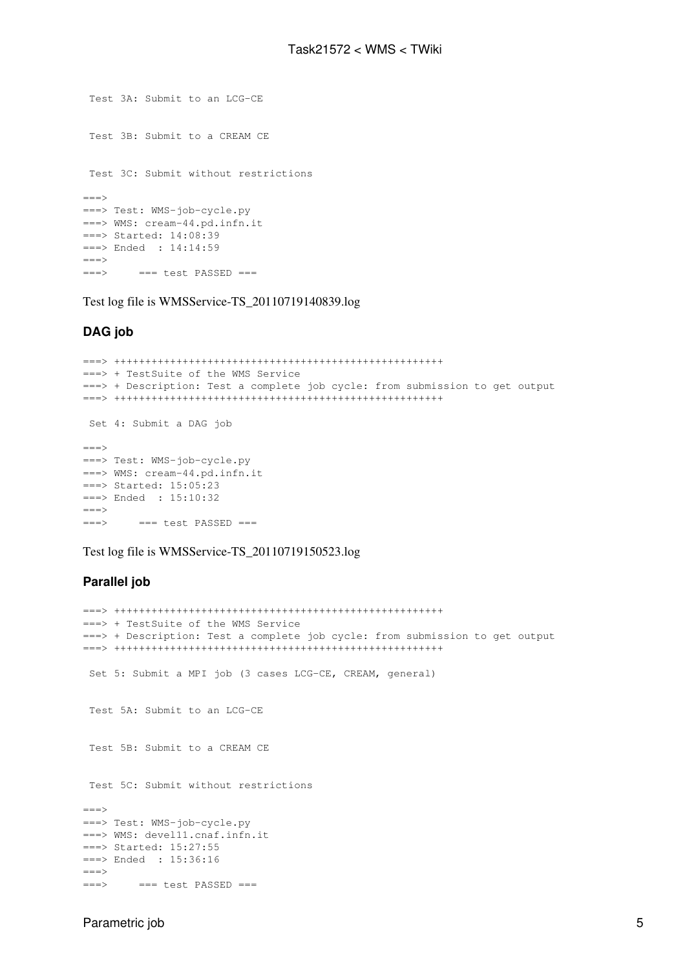```
 Test 3A: Submit to an LCG-CE 
  Test 3B: Submit to a CREAM CE 
 Test 3C: Submit without restrictions 
====> Test: WMS-job-cycle.py
===> WMS: cream-44.pd.infn.it
===> Started: 14:08:39
===> Ended : 14:14:59
==>==&= == test PASSED ==
```
Test log file is [WMSService-TS\\_20110719140839.log](https://wiki-igi.cnaf.infn.it/twiki/pub/WMS/Task21572/WMSService-TS_20110719140839.log)

### <span id="page-5-0"></span>**DAG job**

```
===> +++++++++++++++++++++++++++++++++++++++++++++++++++++
===> + TestSuite of the WMS Service 
===> + Description: Test a complete job cycle: from submission to get output 
===> +++++++++++++++++++++++++++++++++++++++++++++++++++++
Set 4: Submit a DAG job
===>===> Test: WMS-job-cycle.py
===> WMS: cream-44.pd.infn.it
===> Started: 15:05:23
===> Ended : 15:10:32
==->===> === test PASSED ===
```
Test log file is [WMSService-TS\\_20110719150523.log](https://wiki-igi.cnaf.infn.it/twiki/pub/WMS/Task21572/WMSService-TS_20110719150523.log)

### <span id="page-5-1"></span>**Parallel job**

```
===> +++++++++++++++++++++++++++++++++++++++++++++++++++++
===> + TestSuite of the WMS Service 
===> + Description: Test a complete job cycle: from submission to get output 
===> +++++++++++++++++++++++++++++++++++++++++++++++++++++
 Set 5: Submit a MPI job (3 cases LCG-CE, CREAM, general) 
 Test 5A: Submit to an LCG-CE 
 Test 5B: Submit to a CREAM CE 
 Test 5C: Submit without restrictions 
====> Test: WMS-job-cycle.py
===> WMS: devel11.cnaf.infn.it
===> Started: 15:27:55
===> Ended : 15:36:16
==-\times===> === test PASSED ===
```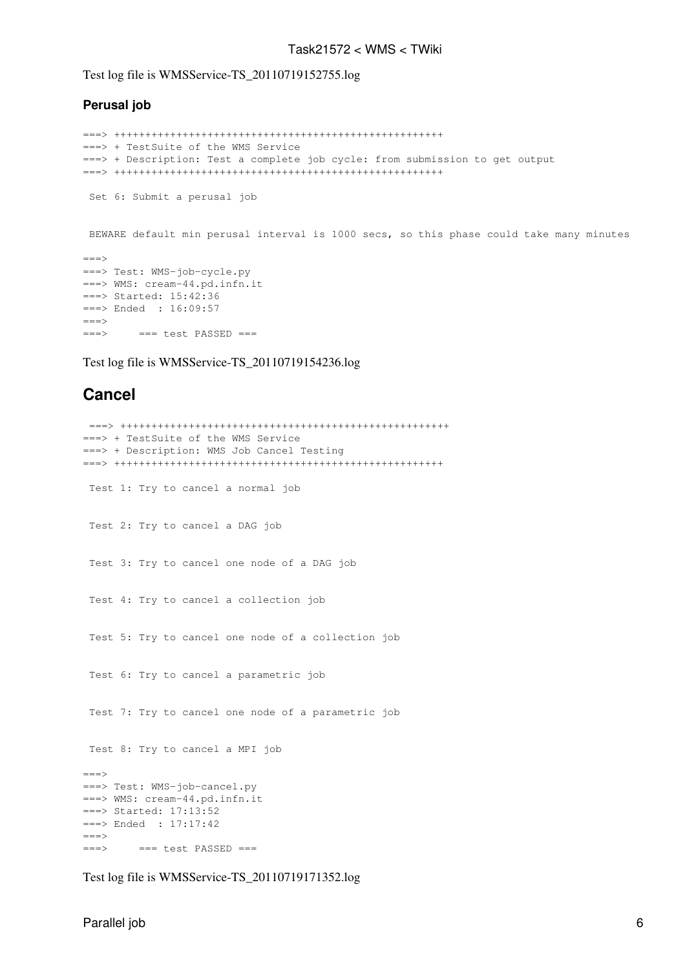Test log file is [WMSService-TS\\_20110719152755.log](https://wiki-igi.cnaf.infn.it/twiki/pub/WMS/Task21572/WMSService-TS_20110719152755.log)

### <span id="page-6-0"></span>**Perusal job**

```
===> +++++++++++++++++++++++++++++++++++++++++++++++++++++
===> + TestSuite of the WMS Service 
===> + Description: Test a complete job cycle: from submission to get output 
===> +++++++++++++++++++++++++++++++++++++++++++++++++++++
 Set 6: Submit a perusal job 
 BEWARE default min perusal interval is 1000 secs, so this phase could take many minutes 
==->===> Test: WMS-job-cycle.py
===> WMS: cream-44.pd.infn.it
===> Started: 15:42:36
===> Ended : 16:09:57
==->==> == test PASSED ==Test log file is WMSService-TS_20110719154236.log
```
### <span id="page-6-1"></span>**Cancel**

```
 ===> +++++++++++++++++++++++++++++++++++++++++++++++++++++
===> + TestSuite of the WMS Service 
===> + Description: WMS Job Cancel Testing 
===> +++++++++++++++++++++++++++++++++++++++++++++++++++++
 Test 1: Try to cancel a normal job 
 Test 2: Try to cancel a DAG job 
  Test 3: Try to cancel one node of a DAG job 
  Test 4: Try to cancel a collection job 
  Test 5: Try to cancel one node of a collection job 
  Test 6: Try to cancel a parametric job 
  Test 7: Try to cancel one node of a parametric job 
 Test 8: Try to cancel a MPI job 
==->===> Test: WMS-job-cancel.py
===> WMS: cream-44.pd.infn.it
===> Started: 17:13:52
===> Ended : 17:17:42
==->===> === test PASSED ===
```
Test log file is [WMSService-TS\\_20110719171352.log](https://wiki-igi.cnaf.infn.it/twiki/pub/WMS/Task21572/WMSService-TS_20110719171352.log)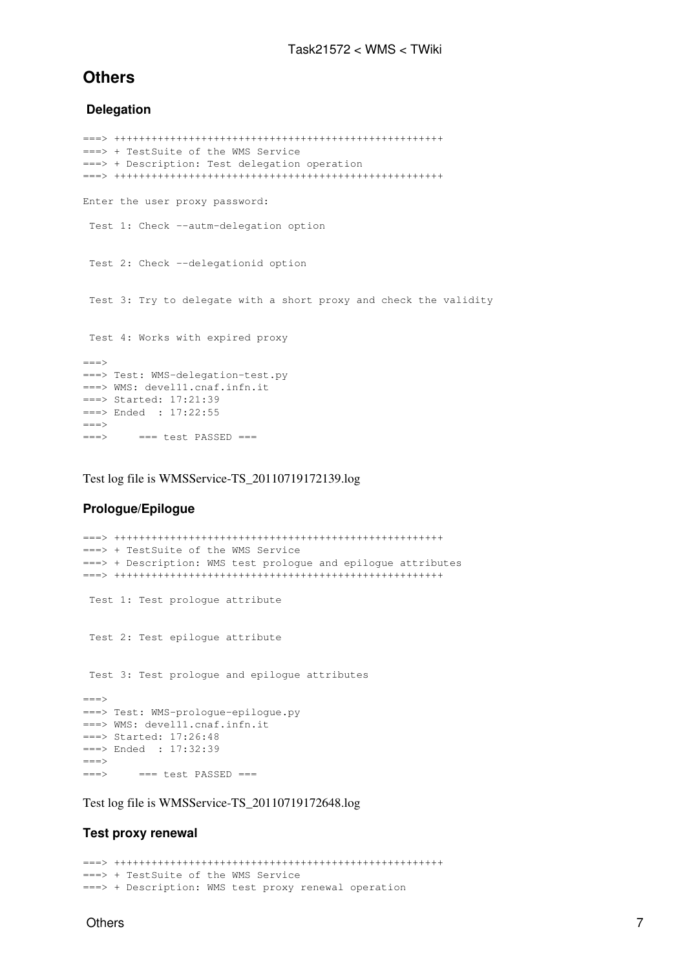### <span id="page-7-0"></span>**Others**

### <span id="page-7-1"></span> **Delegation**

```
===> +++++++++++++++++++++++++++++++++++++++++++++++++++++
===> + TestSuite of the WMS Service 
===> + Description: Test delegation operation 
===> +++++++++++++++++++++++++++++++++++++++++++++++++++++
Enter the user proxy password:
 Test 1: Check --autm-delegation option 
 Test 2: Check --delegationid option 
 Test 3: Try to delegate with a short proxy and check the validity 
 Test 4: Works with expired proxy 
==->===> Test: WMS-delegation-test.py
===> WMS: devel11.cnaf.infn.it
===> Started: 17:21:39
===> Ended : 17:22:55
==->== == +est PASSED ==
```
Test log file is [WMSService-TS\\_20110719172139.log](https://wiki-igi.cnaf.infn.it/twiki/pub/WMS/Task21572/WMSService-TS_20110719172139.log)

### <span id="page-7-2"></span>**Prologue/Epilogue**

```
===> +++++++++++++++++++++++++++++++++++++++++++++++++++++
===> + TestSuite of the WMS Service 
===> + Description: WMS test prologue and epilogue attributes 
===> +++++++++++++++++++++++++++++++++++++++++++++++++++++
 Test 1: Test prologue attribute 
 Test 2: Test epilogue attribute 
 Test 3: Test prologue and epilogue attributes 
==->===> Test: WMS-prologue-epilogue.py
===> WMS: devel11.cnaf.infn.it
===> Started: 17:26:48
===> Ended : 17:32:39
====> === test PASSED ===
```
Test log file is [WMSService-TS\\_20110719172648.log](https://wiki-igi.cnaf.infn.it/twiki/pub/WMS/Task21572/WMSService-TS_20110719172648.log)

### <span id="page-7-3"></span>**Test proxy renewal**

===> +++++++++++++++++++++++++++++++++++++++++++++++++++++ ===> + TestSuite of the WMS Service ===> + Description: WMS test proxy renewal operation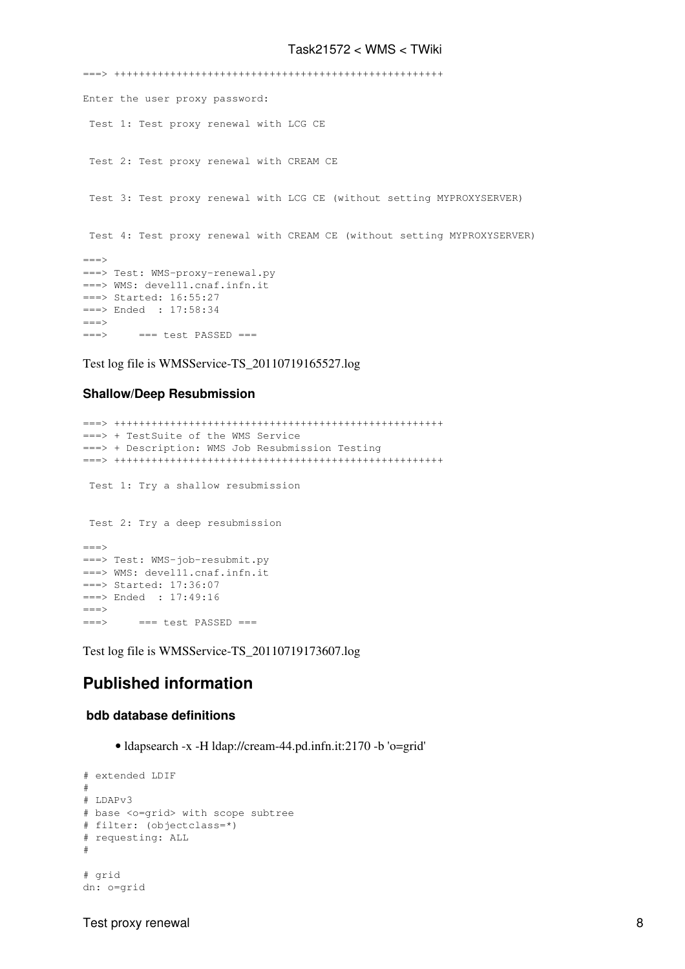```
===> +++++++++++++++++++++++++++++++++++++++++++++++++++++
Enter the user proxy password:
 Test 1: Test proxy renewal with LCG CE 
 Test 2: Test proxy renewal with CREAM CE 
 Test 3: Test proxy renewal with LCG CE (without setting MYPROXYSERVER) 
 Test 4: Test proxy renewal with CREAM CE (without setting MYPROXYSERVER) 
====> Test: WMS-proxy-renewal.py
===> WMS: devel11.cnaf.infn.it
===> Started: 16:55:27
===> Ended : 17:58:34
---<==> == test PASSED ==
```
Test log file is [WMSService-TS\\_20110719165527.log](https://wiki-igi.cnaf.infn.it/twiki/pub/WMS/Task21572/WMSService-TS_20110719165527.log)

### <span id="page-8-0"></span>**Shallow/Deep Resubmission**

```
===> +++++++++++++++++++++++++++++++++++++++++++++++++++++
===> + TestSuite of the WMS Service 
===> + Description: WMS Job Resubmission Testing 
===> +++++++++++++++++++++++++++++++++++++++++++++++++++++
 Test 1: Try a shallow resubmission 
 Test 2: Try a deep resubmission 
====> Test: WMS-job-resubmit.py
===> WMS: devel11.cnaf.infn.it
===> Started: 17:36:07
===> Ended : 17:49:16
==->===> === test PASSED ===
```
Test log file is [WMSService-TS\\_20110719173607.log](https://wiki-igi.cnaf.infn.it/twiki/pub/WMS/Task21572/WMSService-TS_20110719173607.log)

### <span id="page-8-1"></span>**Published information**

### <span id="page-8-2"></span> **bdb database definitions**

• ldapsearch -x -H ldap://cream-44.pd.infn.it:2170 -b 'o=grid'

```
# extended LDIF
#
# LDAPv3
# base <o=grid> with scope subtree
# filter: (objectclass=*)
# requesting: ALL
#
# grid
dn: o=grid
```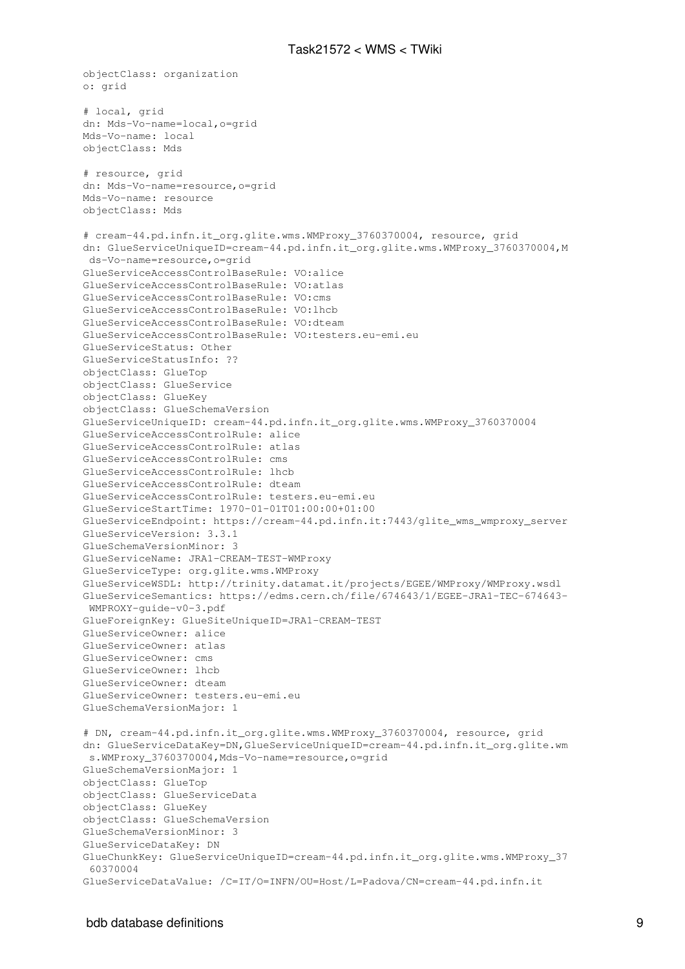```
objectClass: organization
o: grid
# local, grid
dn: Mds-Vo-name=local,o=grid
Mds-Vo-name: local
objectClass: Mds
# resource, grid
dn: Mds-Vo-name=resource,o=grid
Mds-Vo-name: resource
objectClass: Mds
# cream-44.pd.infn.it_org.glite.wms.WMProxy_3760370004, resource, grid
dn: GlueServiceUniqueID=cream-44.pd.infn.it_org.glite.wms.WMProxy_3760370004,M
 ds-Vo-name=resource,o=grid
GlueServiceAccessControlBaseRule: VO:alice
GlueServiceAccessControlBaseRule: VO:atlas
GlueServiceAccessControlBaseRule: VO:cms
GlueServiceAccessControlBaseRule: VO:lhcb
GlueServiceAccessControlBaseRule: VO:dteam
GlueServiceAccessControlBaseRule: VO:testers.eu-emi.eu
GlueServiceStatus: Other
GlueServiceStatusInfo: ??
objectClass: GlueTop
objectClass: GlueService
objectClass: GlueKey
objectClass: GlueSchemaVersion
GlueServiceUniqueID: cream-44.pd.infn.it_org.glite.wms.WMProxy_3760370004
GlueServiceAccessControlRule: alice
GlueServiceAccessControlRule: atlas
GlueServiceAccessControlRule: cms
GlueServiceAccessControlRule: lhcb
GlueServiceAccessControlRule: dteam
GlueServiceAccessControlRule: testers.eu-emi.eu
GlueServiceStartTime: 1970-01-01T01:00:00+01:00
GlueServiceEndpoint: https://cream-44.pd.infn.it:7443/glite_wms_wmproxy_server
GlueServiceVersion: 3.3.1
GlueSchemaVersionMinor: 3
GlueServiceName: JRA1-CREAM-TEST-WMProxy
GlueServiceType: org.glite.wms.WMProxy
GlueServiceWSDL: http://trinity.datamat.it/projects/EGEE/WMProxy/WMProxy.wsdl
GlueServiceSemantics: https://edms.cern.ch/file/674643/1/EGEE-JRA1-TEC-674643-
 WMPROXY-guide-v0-3.pdf
GlueForeignKey: GlueSiteUniqueID=JRA1-CREAM-TEST
GlueServiceOwner: alice
GlueServiceOwner: atlas
GlueServiceOwner: cms
GlueServiceOwner: lhcb
GlueServiceOwner: dteam
GlueServiceOwner: testers.eu-emi.eu
GlueSchemaVersionMajor: 1
# DN, cream-44.pd.infn.it_org.glite.wms.WMProxy_3760370004, resource, grid
dn: GlueServiceDataKey=DN,GlueServiceUniqueID=cream-44.pd.infn.it_org.glite.wm
  s.WMProxy_3760370004,Mds-Vo-name=resource,o=grid
GlueSchemaVersionMajor: 1
objectClass: GlueTop
objectClass: GlueServiceData
objectClass: GlueKey
objectClass: GlueSchemaVersion
GlueSchemaVersionMinor: 3
GlueServiceDataKey: DN
GlueChunkKey: GlueServiceUniqueID=cream-44.pd.infn.it_org.glite.wms.WMProxy_37
  60370004
GlueServiceDataValue: /C=IT/O=INFN/OU=Host/L=Padova/CN=cream-44.pd.infn.it
```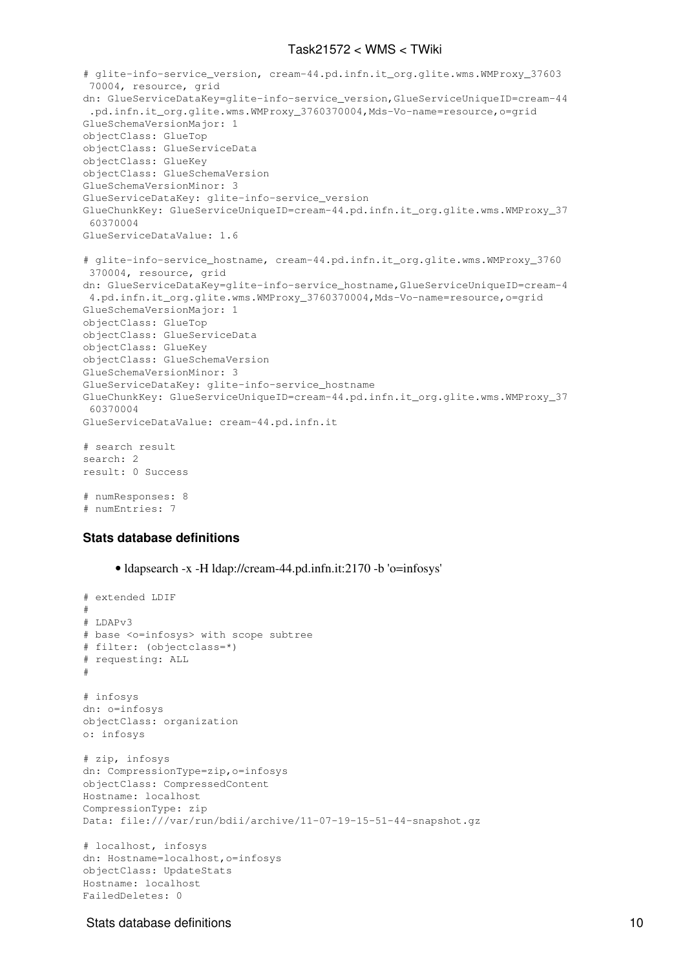```
# glite-info-service_version, cream-44.pd.infn.it_org.glite.wms.WMProxy_37603
  70004, resource, grid
dn: GlueServiceDataKey=glite-info-service_version,GlueServiceUniqueID=cream-44
  .pd.infn.it_org.glite.wms.WMProxy_3760370004,Mds-Vo-name=resource,o=grid
GlueSchemaVersionMajor: 1
objectClass: GlueTop
objectClass: GlueServiceData
objectClass: GlueKey
objectClass: GlueSchemaVersion
GlueSchemaVersionMinor: 3
GlueServiceDataKey: glite-info-service_version
GlueChunkKey: GlueServiceUniqueID=cream-44.pd.infn.it_org.glite.wms.WMProxy_37
 60370004
GlueServiceDataValue: 1.6
# glite-info-service_hostname, cream-44.pd.infn.it_org.glite.wms.WMProxy_3760
  370004, resource, grid
dn: GlueServiceDataKey=glite-info-service_hostname,GlueServiceUniqueID=cream-4
 4.pd.infn.it_org.glite.wms.WMProxy_3760370004,Mds-Vo-name=resource,o=grid
GlueSchemaVersionMajor: 1
objectClass: GlueTop
objectClass: GlueServiceData
objectClass: GlueKey
objectClass: GlueSchemaVersion
GlueSchemaVersionMinor: 3
GlueServiceDataKey: glite-info-service_hostname
GlueChunkKey: GlueServiceUniqueID=cream-44.pd.infn.it_org.glite.wms.WMProxy_37
  60370004
GlueServiceDataValue: cream-44.pd.infn.it
# search result
search: 2
result: 0 Success
# numResponses: 8
```

```
# numEntries: 7
```
### <span id="page-10-0"></span>**Stats database definitions**

• ldapsearch -x -H ldap://cream-44.pd.infn.it:2170 -b 'o=infosys'

```
# extended LDIF
#
# LDAPv3
# base <o=infosys> with scope subtree
# filter: (objectclass=*)
# requesting: ALL
#
# infosys
dn: o=infosys
objectClass: organization
o: infosys
# zip, infosys
dn: CompressionType=zip,o=infosys
objectClass: CompressedContent
Hostname: localhost
CompressionType: zip
Data: file:///var/run/bdii/archive/11-07-19-15-51-44-snapshot.gz
# localhost, infosys
dn: Hostname=localhost,o=infosys
objectClass: UpdateStats
```

```
Stats database definitions and the state of the state of the state of the state of the state of the state of the state of the state of the state of the state of the state of the state of the state of the state of the state
```
Hostname: localhost FailedDeletes: 0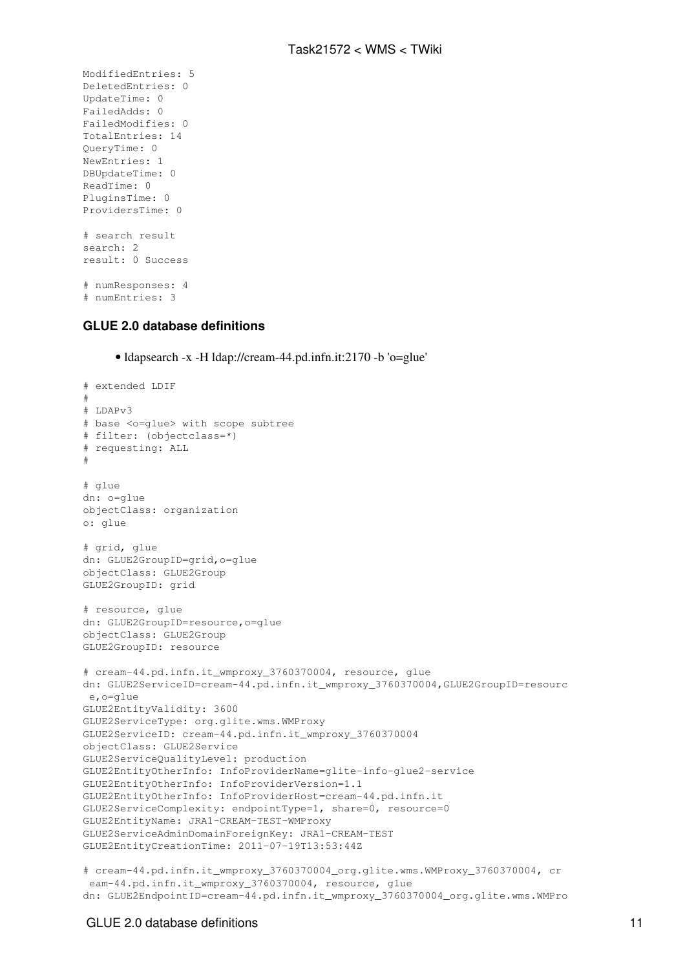ModifiedEntries: 5 DeletedEntries: 0 UpdateTime: 0 FailedAdds: 0 FailedModifies: 0 TotalEntries: 14 QueryTime: 0 NewEntries: 1 DBUpdateTime: 0 ReadTime: 0 PluginsTime: 0 ProvidersTime: 0 # search result search: 2 result: 0 Success # numResponses: 4 # numEntries: 3

### <span id="page-11-0"></span>**GLUE 2.0 database definitions**

• ldapsearch -x -H ldap://cream-44.pd.infn.it:2170 -b 'o=glue'

```
# extended LDIF
#
# LDAPv3
# base <o=glue> with scope subtree
# filter: (objectclass=*)
# requesting: ALL
#
# glue
dn: o=glue
objectClass: organization
o: glue
# grid, glue
dn: GLUE2GroupID=grid,o=glue
objectClass: GLUE2Group
GLUE2GroupID: grid
# resource, glue
dn: GLUE2GroupID=resource,o=glue
objectClass: GLUE2Group
GLUE2GroupID: resource
# cream-44.pd.infn.it_wmproxy_3760370004, resource, glue
dn: GLUE2ServiceID=cream-44.pd.infn.it_wmproxy_3760370004,GLUE2GroupID=resourc
 e,o=glue
GLUE2EntityValidity: 3600
GLUE2ServiceType: org.glite.wms.WMProxy
GLUE2ServiceID: cream-44.pd.infn.it_wmproxy_3760370004
objectClass: GLUE2Service
GLUE2ServiceQualityLevel: production
GLUE2EntityOtherInfo: InfoProviderName=glite-info-glue2-service
GLUE2EntityOtherInfo: InfoProviderVersion=1.1
GLUE2EntityOtherInfo: InfoProviderHost=cream-44.pd.infn.it
GLUE2ServiceComplexity: endpointType=1, share=0, resource=0
GLUE2EntityName: JRA1-CREAM-TEST-WMProxy
GLUE2ServiceAdminDomainForeignKey: JRA1-CREAM-TEST
GLUE2EntityCreationTime: 2011-07-19T13:53:44Z
# cream-44.pd.infn.it_wmproxy_3760370004_org.glite.wms.WMProxy_3760370004, cr
```

```
 eam-44.pd.infn.it_wmproxy_3760370004, resource, glue
dn: GLUE2EndpointID=cream-44.pd.infn.it_wmproxy_3760370004_org.glite.wms.WMPro
```
### GLUE 2.0 database definitions 11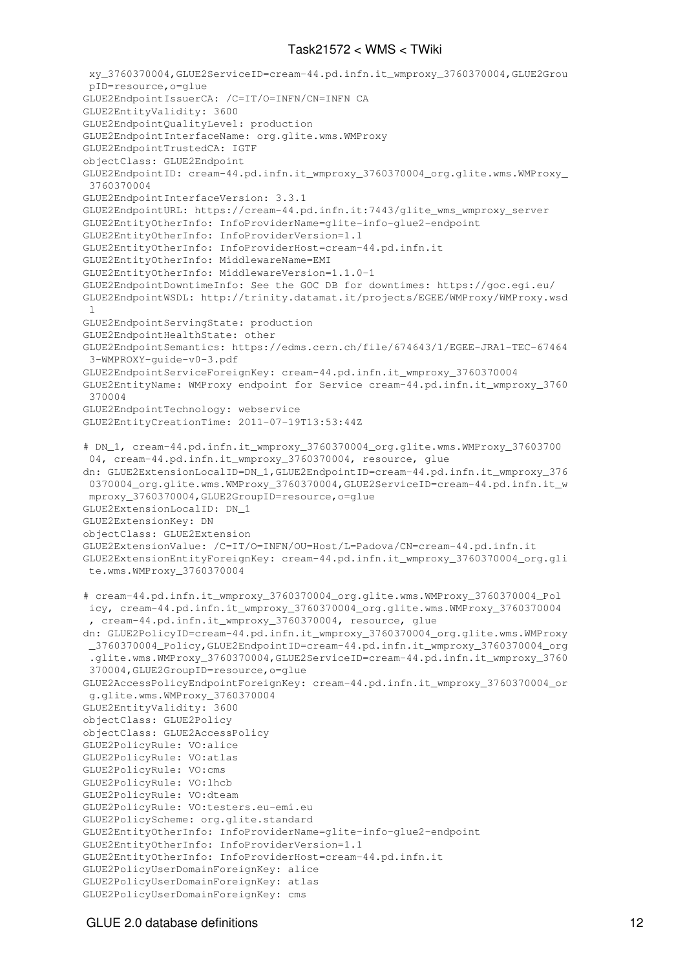```
 xy_3760370004,GLUE2ServiceID=cream-44.pd.infn.it_wmproxy_3760370004,GLUE2Grou
 pID=resource,o=glue
GLUE2EndpointIssuerCA: /C=IT/O=INFN/CN=INFN CA
GLUE2EntityValidity: 3600
GLUE2EndpointQualityLevel: production
GLUE2EndpointInterfaceName: org.glite.wms.WMProxy
GLUE2EndpointTrustedCA: IGTF
objectClass: GLUE2Endpoint
GLUE2EndpointID: cream-44.pd.infn.it_wmproxy_3760370004_org.glite.wms.WMProxy_
 3760370004
GLUE2EndpointInterfaceVersion: 3.3.1
GLUE2EndpointURL: https://cream-44.pd.infn.it:7443/glite_wms_wmproxy_server
GLUE2EntityOtherInfo: InfoProviderName=glite-info-glue2-endpoint
GLUE2EntityOtherInfo: InfoProviderVersion=1.1
GLUE2EntityOtherInfo: InfoProviderHost=cream-44.pd.infn.it
GLUE2EntityOtherInfo: MiddlewareName=EMI
GLUE2EntityOtherInfo: MiddlewareVersion=1.1.0-1
GLUE2EndpointDowntimeInfo: See the GOC DB for downtimes: https://goc.egi.eu/
GLUE2EndpointWSDL: http://trinity.datamat.it/projects/EGEE/WMProxy/WMProxy.wsd
 l
GLUE2EndpointServingState: production
GLUE2EndpointHealthState: other
GLUE2EndpointSemantics: https://edms.cern.ch/file/674643/1/EGEE-JRA1-TEC-67464
 3-WMPROXY-guide-v0-3.pdf
GLUE2EndpointServiceForeignKey: cream-44.pd.infn.it_wmproxy_3760370004
GLUE2EntityName: WMProxy endpoint for Service cream-44.pd.infn.it_wmproxy_3760
  370004
GLUE2EndpointTechnology: webservice
GLUE2EntityCreationTime: 2011-07-19T13:53:44Z
# DN_1, cream-44.pd.infn.it_wmproxy_3760370004_org.glite.wms.WMProxy_37603700
 04, cream-44.pd.infn.it_wmproxy_3760370004, resource, glue
dn: GLUE2ExtensionLocalID=DN_1,GLUE2EndpointID=cream-44.pd.infn.it_wmproxy_376
  0370004_org.glite.wms.WMProxy_3760370004,GLUE2ServiceID=cream-44.pd.infn.it_w
 mproxy_3760370004,GLUE2GroupID=resource,o=glue
GLUE2ExtensionLocalID: DN_1
GLUE2ExtensionKey: DN
objectClass: GLUE2Extension
GLUE2ExtensionValue: /C=IT/O=INFN/OU=Host/L=Padova/CN=cream-44.pd.infn.it
GLUE2ExtensionEntityForeignKey: cream-44.pd.infn.it_wmproxy_3760370004_org.gli
 te.wms.WMProxy_3760370004
# cream-44.pd.infn.it_wmproxy_3760370004_org.glite.wms.WMProxy_3760370004_Pol
 icy, cream-44.pd.infn.it_wmproxy_3760370004_org.glite.wms.WMProxy_3760370004
  , cream-44.pd.infn.it_wmproxy_3760370004, resource, glue
dn: GLUE2PolicyID=cream-44.pd.infn.it_wmproxy_3760370004_org.glite.wms.WMProxy
 _3760370004_Policy,GLUE2EndpointID=cream-44.pd.infn.it_wmproxy_3760370004_org
  .glite.wms.WMProxy_3760370004,GLUE2ServiceID=cream-44.pd.infn.it_wmproxy_3760
  370004,GLUE2GroupID=resource,o=glue
GLUE2AccessPolicyEndpointForeignKey: cream-44.pd.infn.it_wmproxy_3760370004_or
 g.glite.wms.WMProxy_3760370004
GLUE2EntityValidity: 3600
objectClass: GLUE2Policy
objectClass: GLUE2AccessPolicy
GLUE2PolicyRule: VO:alice
GLUE2PolicyRule: VO:atlas
GLUE2PolicyRule: VO:cms
GLUE2PolicyRule: VO:lhcb
GLUE2PolicyRule: VO:dteam
GLUE2PolicyRule: VO:testers.eu-emi.eu
GLUE2PolicyScheme: org.glite.standard
GLUE2EntityOtherInfo: InfoProviderName=glite-info-glue2-endpoint
GLUE2EntityOtherInfo: InfoProviderVersion=1.1
GLUE2EntityOtherInfo: InfoProviderHost=cream-44.pd.infn.it
GLUE2PolicyUserDomainForeignKey: alice
GLUE2PolicyUserDomainForeignKey: atlas
GLUE2PolicyUserDomainForeignKey: cms
```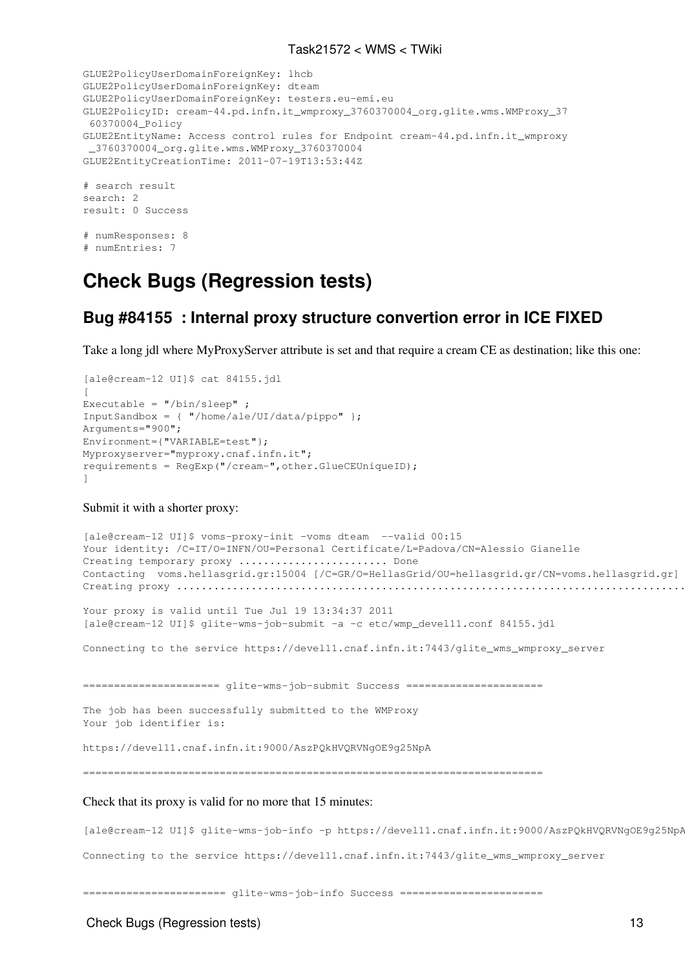```
GLUE2PolicyUserDomainForeignKey: lhcb
GLUE2PolicyUserDomainForeignKey: dteam
GLUE2PolicyUserDomainForeignKey: testers.eu-emi.eu
GLUE2PolicyID: cream-44.pd.infn.it_wmproxy_3760370004_org.glite.wms.WMProxy_37
  60370004_Policy
GLUE2EntityName: Access control rules for Endpoint cream-44.pd.infn.it_wmproxy
  _3760370004_org.glite.wms.WMProxy_3760370004
GLUE2EntityCreationTime: 2011-07-19T13:53:44Z
# search result
search: 2
result: 0 Success
# numResponses: 8
# numEntries: 7
```
## <span id="page-13-0"></span>**Check Bugs (Regression tests)**

### <span id="page-13-1"></span>**Bug [#84155](https://savannah.cern.ch/bugs/?84155) : Internal proxy structure convertion error in ICE FIXED**

Take a long jdl where MyProxyServer attribute is set and that require a cream CE as destination; like this one:

```
[ale@cream-12 UI]$ cat 84155.jdl 
[
Executable = ''/\text{bin/sleep} ;
Input Sandbox = { "/home/ale/UI/data/pipe" };Arguments="900";
Environment={"VARIABLE=test"};
Myproxyserver="myproxy.cnaf.infn.it";
requirements = RegExp("/cream-",other.GlueCEUniqueID);
]
```
#### Submit it with a shorter proxy:

```
[ale@cream-12 UI]$ voms-proxy-init -voms dteam --valid 00:15
Your identity: /C=IT/O=INFN/OU=Personal Certificate/L=Padova/CN=Alessio Gianelle
Creating temporary proxy .......................... Done
Contacting voms.hellasgrid.gr:15004 [/C=GR/O=HellasGrid/OU=hellasgrid.gr/CN=voms.hellasgrid.gr]
Creating proxy .................................................................................... Done
Your proxy is valid until Tue Jul 19 13:34:37 2011
[ale@cream-12 UI]$ glite-wms-job-submit -a -c etc/wmp_devel11.conf 84155.jdl
Connecting to the service https://devel11.cnaf.infn.it:7443/glite_wms_wmproxy_server
====================== glite-wms-job-submit Success ======================
The job has been successfully submitted to the WMProxy
Your job identifier is:
https://devel11.cnaf.infn.it:9000/AszPQkHVQRVNgOE9g25NpA
==========================================================================
Check that its proxy is valid for no more that 15 minutes:
[ale@cream-12 UI]$ glite-wms-job-info -p https://devel11.cnaf.infn.it:9000/AszPQkHVQRVNgOE9g25NpA
```
Connecting to the service https://devel11.cnaf.infn.it:7443/glite\_wms\_wmproxy\_server

======================= glite-wms-job-info Success =======================

Check Bugs (Regression tests) 13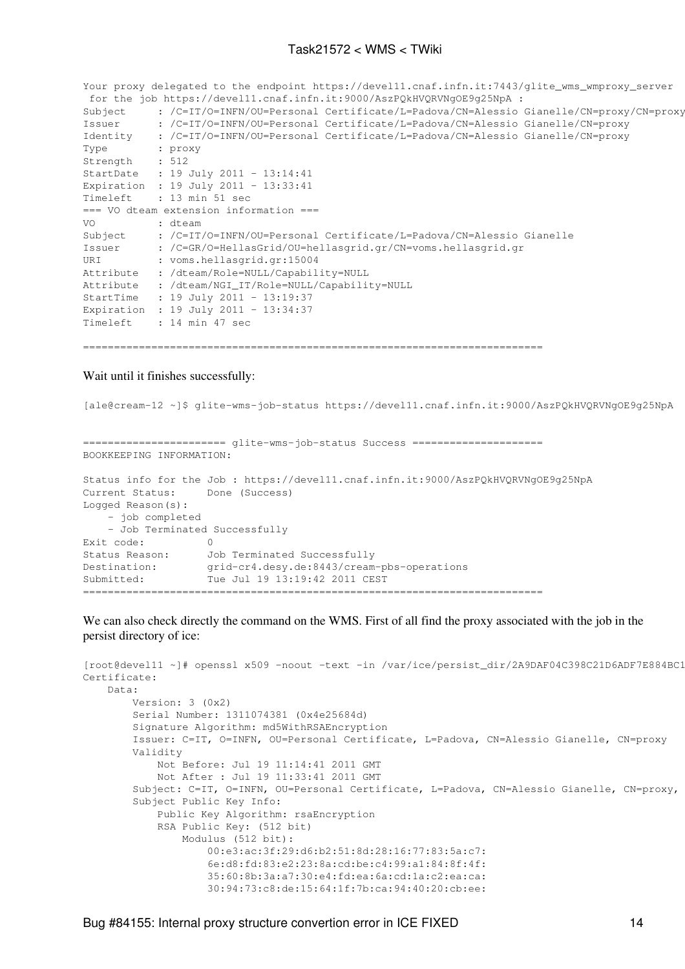```
Your proxy delegated to the endpoint https://devel11.cnaf.infn.it:7443/glite_wms_wmproxy_server
  for the job https://devel11.cnaf.infn.it:9000/AszPQkHVQRVNgOE9g25NpA :
Subject : /C=IT/O=INFN/OU=Personal Certificate/L=Padova/CN=Alessio Gianelle/CN=proxy/CN=proxy
Issuer : /C=IT/O=INFN/OU=Personal Certificate/L=Padova/CN=Alessio Gianelle/CN=proxy
Identity : /C=IT/O=INFN/OU=Personal Certificate/L=Padova/CN=Alessio Gianelle/CN=proxy
Type : proxy
Strength : 512
StartDate : 19 July 2011 - 13:14:41
Expiration : 19 July 2011 - 13:33:41
Timeleft : 13 min 51 sec
=== VO dteam extension information ===
VO : dteam
Subject : /C=IT/O=INFN/OU=Personal Certificate/L=Padova/CN=Alessio Gianelle<br>Issuer : /C=GR/O=HellasGrid/OU=hellasgrid.gr/CN=voms.hellasgrid.gr
           : /C=GR/O=HellasGrid/OU=hellasgrid.gr/CN=voms.hellasgrid.gr
URI : voms.hellasgrid.gr:15004
Attribute : /dteam/Role=NULL/Capability=NULL
Attribute : /dteam/NGI_IT/Role=NULL/Capability=NULL
StartTime : 19 July 2011 - 13:19:37
Expiration : 19 July 2011 - 13:34:37
Timeleft : 14 min 47 sec
```
==========================================================================

#### Wait until it finishes successfully:

[ale@cream-12 ~]\$ glite-wms-job-status https://devel11.cnaf.infn.it:9000/AszPQkHVQRVNgOE9g25NpA

======================= glite-wms-job-status Success ===================== BOOKKEEPING INFORMATION: Status info for the Job : https://devel11.cnaf.infn.it:9000/AszPQkHVQRVNgOE9g25NpA Current Status: Done (Success) Logged Reason(s): - job completed - Job Terminated Successfully Exit code: 0

Status Reason: Job Terminated Successfully Destination: grid-cr4.desy.de:8443/cream-pbs-operations Submitted: Tue Jul 19 13:19:42 2011 CEST ==========================================================================

We can also check directly the command on the WMS. First of all find the proxy associated with the job in the persist directory of ice:

```
[root@devel11 ~]# openssl x509 -noout -text -in /var/ice/persist_dir/2A9DAF04C398C21D6ADF7E884BC1
Certificate:
     Data:
         Version: 3 (0x2)
         Serial Number: 1311074381 (0x4e25684d)
         Signature Algorithm: md5WithRSAEncryption
         Issuer: C=IT, O=INFN, OU=Personal Certificate, L=Padova, CN=Alessio Gianelle, CN=proxy
         Validity
             Not Before: Jul 19 11:14:41 2011 GMT
             Not After : Jul 19 11:33:41 2011 GMT
        Subject: C=IT, O=INFN, OU=Personal Certificate, L=Padova, CN=Alessio Gianelle, CN=proxy,
         Subject Public Key Info:
             Public Key Algorithm: rsaEncryption
             RSA Public Key: (512 bit)
                 Modulus (512 bit):
                     00:e3:ac:3f:29:d6:b2:51:8d:28:16:77:83:5a:c7:
                     6e:d8:fd:83:e2:23:8a:cd:be:c4:99:a1:84:8f:4f:
                     35:60:8b:3a:a7:30:e4:fd:ea:6a:cd:1a:c2:ea:ca:
                     30:94:73:c8:de:15:64:1f:7b:ca:94:40:20:cb:ee:
```